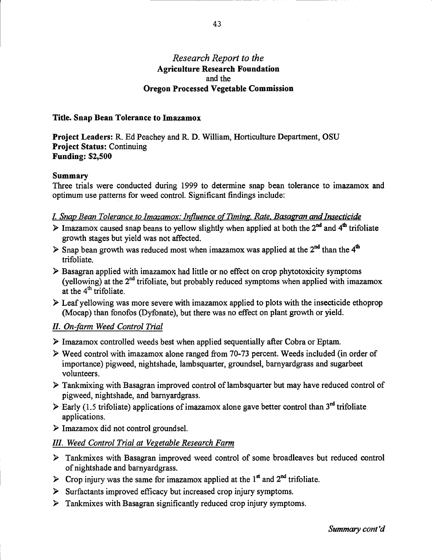### Research Report to the Agriculture Research Foundation and the Oregon Processed Vegetable Commission

### Title. Snap Bean Tolerance to Imazamox

Project Leaders: R. Ed Peachey and R. D. William, Horticulture Department, OSU Project Status: Continuing Funding: \$2,500

#### Summary

Three trials were conducted during 1999 to determine snap bean tolerance to imazamox and optimum use patterns for weed control. Significant findings include:

#### I. Snap Bean Tolerance to Imazamox: Influence of Timing, Rate. Basagran and Insecticide

- $\triangleright$  Imazamox caused snap beans to yellow slightly when applied at both the 2<sup>nd</sup> and 4<sup>th</sup> trifoliate growth stages but yield was not affected.
- $\triangleright$  Snap bean growth was reduced most when imazamox was applied at the 2<sup>nd</sup> than the 4<sup>th</sup> trifoliate.
- $\triangleright$  Basagran applied with imazamox had little or no effect on crop phytotoxicity symptoms (yellowing) at the  $2<sup>nd</sup>$  trifoliate, but probably reduced symptoms when applied with imazamox at the  $4<sup>th</sup>$  trifoliate.
- $\triangleright$  Leaf vellowing was more severe with imazamox applied to plots with the insecticide ethoprop (Mocap) than fonofos (Dyfonate), but there was no effect on plant growth or yield.

### H. On-farm Weed Control Trial

- Imazamox controlled weeds best when applied sequentially after Cobra or Eptam.
- Weed control with imazamox alone ranged from 70-73 percent. Weeds included (in order of importance) pigweed, nightshade, lamb squarter, groundsel, barnyardgrass and sugarbeet volunteers.
- Tankmixing with Basagran improved control of lambsquarter but may have reduced control of pigweed, nightshade, and barnyardgrass.
- $\triangleright$  Early (1.5 trifoliate) applications of imazamox alone gave better control than 3<sup>rd</sup> trifoliate applications.
- $\triangleright$  Imazamox did not control groundsel.

### /H. Weed Control Trial at Vegetable Research Farm

- Tankmixes with Basagran improved weed control of some broadleaves but reduced control of nightshade and barnyardgrass.
- $\triangleright$  Crop injury was the same for imazamox applied at the 1<sup>st</sup> and 2<sup>nd</sup> trifoliate.
- $\triangleright$  Surfactants improved efficacy but increased crop injury symptoms.
- $\triangleright$  Tankmixes with Basagran significantly reduced crop injury symptoms.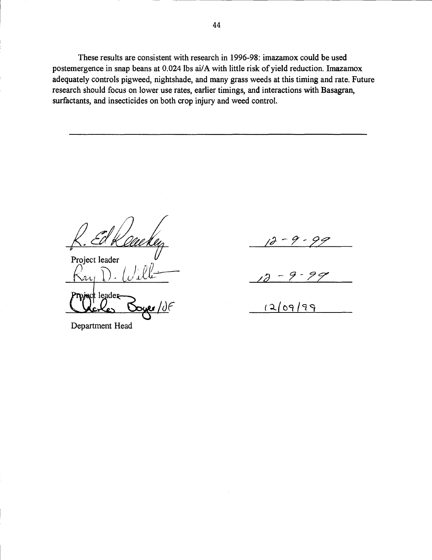These results are consistent with research in 1996-98: imazamox could be used postemergence in snap beans at 0.024 lbs ai/A with little risk of yield reduction. Imazamox adequately controls pigweed, nightshade, and many grass weeds at this timing and rate. Future research should focus on lower use rates, earlier timings, and interactions with Basagran, surfactants, and insecticides on both crop injury and weed control.

Project leader <u>- LC</u>  $\pm$  leader  $\overline{\mathsf{C}}$ c $\overline{\mathsf{C}}$ 

Department Head

 $12 - 9 - 99$ 

 $\sqrt{2}$ 

 $(2/09/99)$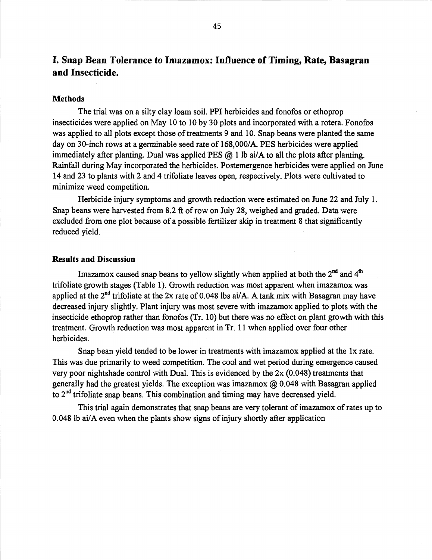# I. Snap Bean Tolerance to Imazamox: Influence of Timing, Rate, Basagran and Insecticide.

### Methods

The trial was on a silty clay loam soil. PPI herbicides and fonofos or ethoprop insecticides were applied on May 10 to 10 by 30 plots and incorporated with a rotera. Fonofos was applied to all plots except those of treatments 9 and 10. Snap beans were planted the same day on 30-inch rows at a germinable seed rate of 168,000/A. PES herbicides were applied immediately after planting. Dual was applied PES  $(a)$  1 lb ai/A to all the plots after planting. Rainfall during May incorporated the herbicides. Postemergence herbicides were applied on June 14 and 23 to plants with 2 and 4 trifoliate leaves open, respectively. Plots were cultivated to minimize weed competition.

Herbicide injury symptoms and growth reduction were estimated on June 22 and July 1. Snap beans were harvested from 8.2 ft of row on July 28, weighed and graded. Data were excluded from one plot because of a possible fertilizer skip in treatment 8 that significantly reduced yield.

### Results and Discussion

Imazamox caused snap beans to yellow slightly when applied at both the  $2<sup>nd</sup>$  and  $4<sup>th</sup>$ trifoliate growth stages (Table 1). Growth reduction was most apparent when imazamox was applied at the  $2<sup>nd</sup>$  trifoliate at the 2x rate of 0.048 lbs ai/A. A tank mix with Basagran may have decreased injury slightly. Plant injury was most severe with imazamox applied to plots with the insecticide ethoprop rather than fonofos (Tr. 10) but there was no effect on plant growth with this treatment. Growth reduction was most apparent in Tr. 11 when applied over four other herbicides.

Snap bean yield tended to be lower in treatments with imazamox applied at the lx rate. This was due primarily to weed competition. The cool and wet period during emergence caused very poor nightshade control with Dual. This is evidenced by the 2x (0.048) treatments that generally had the greatest yields. The exception was imazamox  $\omega$  0.048 with Basagran applied to 2<sup>nd</sup> trifoliate snap beans. This combination and timing may have decreased yield.

This trial again demonstrates that snap beans are very tolerant of imazamox of rates up to 0.048 lb ai/A even when the plants show signs of injury shortly after application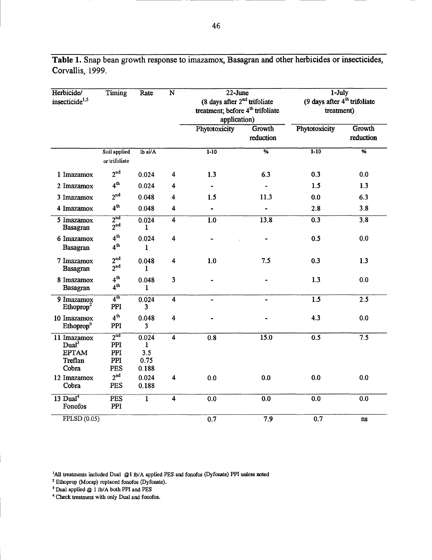| Herbicide/<br>insecticide <sup>1,5</sup>                             | Timing                                      | Rate                               | $\overline{\mathbf{N}}$ | $22 - June$<br>(8 days after $2nd$ trifoliate<br>treatment; before 4 <sup>th</sup> trifoliate<br>application) |                            | $1$ -July<br>(9 days after 4 <sup>th</sup> trifoliate<br>treatment) |                            |
|----------------------------------------------------------------------|---------------------------------------------|------------------------------------|-------------------------|---------------------------------------------------------------------------------------------------------------|----------------------------|---------------------------------------------------------------------|----------------------------|
|                                                                      |                                             |                                    |                         | Phytotoxicity                                                                                                 | <b>Growth</b><br>reduction | Phytotoxicity                                                       | <b>Growth</b><br>reduction |
|                                                                      | Soil applied<br>or trifoliate               | $Ib$ ai/ $A$                       |                         | $1 - 10$                                                                                                      | $\overline{\%}$            | $1 - 10$                                                            | $\overline{\%}$            |
| 1 Imazamox                                                           | 2 <sup>nd</sup>                             | 0.024                              | 4                       | 1.3                                                                                                           | 6.3                        | 0.3                                                                 | 0.0                        |
| 2 Imazamox                                                           | 4 <sup>th</sup>                             | 0.024                              | 4                       |                                                                                                               |                            | 1.5                                                                 | 1.3                        |
| 3 Imazamox                                                           | 2 <sup>nd</sup>                             | 0.048                              | 4                       | 1.5                                                                                                           | 11.3                       | 0.0                                                                 | 6.3                        |
| 4 Imazamox                                                           | 4 <sup>th</sup>                             | 0.048                              | 4                       |                                                                                                               |                            | 2.8                                                                 | 3.8                        |
| 5 Imazamox<br>Basagran                                               | 2 <sup>nd</sup><br>$2^{\text{nd}}$          | 0.024<br>1                         | $\overline{4}$          | 1.0                                                                                                           | 13.8                       | 0.3                                                                 | $\overline{3.8}$           |
| 6 Imazamox<br><b>Basagran</b>                                        | 4 <sup>th</sup><br>4 <sup>th</sup>          | 0.024<br>1                         | 4                       |                                                                                                               |                            | 0.5                                                                 | 0.0                        |
| 7 Imazamox<br><b>Basagran</b>                                        | 2 <sup>nd</sup><br>2 <sup>nd</sup>          | 0.048<br>1                         | 4                       | 1.0                                                                                                           | 7.5                        | 0.3                                                                 | 1.3                        |
| 8 Imazamox<br>Basagran                                               | 4 <sup>th</sup><br>4 <sup>th</sup>          | 0.048<br>1                         | 3                       |                                                                                                               |                            | 1.3                                                                 | 0.0                        |
| 9 Imazamox<br>Ethoprop <sup>2</sup>                                  | $\overline{4^{th}}$<br>PPI                  | 0.024<br>3                         | $\overline{4}$          | $\blacksquare$                                                                                                | $\blacksquare$             | 1.5                                                                 | 2.5                        |
| 10 Imazamox<br>Ethoprop <sup>b</sup>                                 | 4 <sup>th</sup><br>PPI                      | 0.048<br>3                         | 4                       |                                                                                                               |                            | 4.3                                                                 | 0.0                        |
| 11 Imazamox<br>Dual <sup>3</sup><br><b>EPTAM</b><br>Treflan<br>Cobra | 2 <sub>nd</sub><br>PPI<br>PPI<br>PPI<br>PES | 0.024<br>1<br>3.5<br>0.75<br>0.188 | $\overline{\mathbf{4}}$ | 0.8                                                                                                           | 15.0                       | 0.5                                                                 | 7.5                        |
| 12 Imazamox<br>Cobra                                                 | 2 <sup>nd</sup><br>PES                      | 0.024<br>0.188                     | $\overline{\mathbf{4}}$ | 0.0                                                                                                           | 0.0                        | 0.0                                                                 | 0.0                        |
| $13$ Dual <sup>4</sup><br>Fonofos                                    | <b>PES</b><br>PPI                           | $\mathbf{1}$                       | $\overline{\mathbf{4}}$ | 0.0                                                                                                           | 0.0                        | 0.0                                                                 | 0.0                        |
| FPLSD(0.05)                                                          |                                             |                                    |                         | 0.7                                                                                                           | 7.9                        | 0.7                                                                 | ns                         |

Table 1. Snap bean growth response to imazamox, Basagran and other herbicides or insecticides, Corvallis, 1999.

'All treatments included Dual @I lb/A applied PES and fonofos (Dyfonate) PPI unless noted

Ethoprop (Mocap) replaced fonofos (Dyfonate).

Dual applied @ 1 lb/A both PH and PES

4 Check treatment with only Dual and fonofos.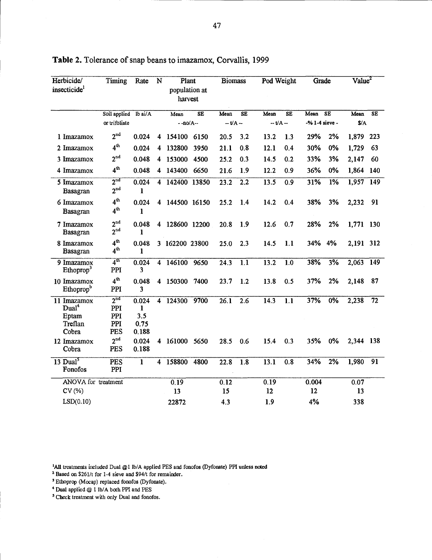| Herbicide/<br>insecticide <sup>1</sup>                        | Timing                                      | Rate                               | N | Plant<br>population at<br>harvest |                        | <b>Biomass</b> |                        | Pod Weight |                  | Grade          |           | Value <sup>2</sup> |           |
|---------------------------------------------------------------|---------------------------------------------|------------------------------------|---|-----------------------------------|------------------------|----------------|------------------------|------------|------------------|----------------|-----------|--------------------|-----------|
|                                                               | Soil applied lb ai/A                        |                                    |   | Mean                              | $\overline{\text{SE}}$ | Mean           | $\overline{\text{SE}}$ | Mean       | SE               | Mean           | <b>SE</b> | Mean               | <b>SE</b> |
|                                                               | or trifoliate                               |                                    |   | $-no/A-$                          |                        | $-UA -$        |                        | -- t/A --  |                  | -% 1-4 sieve - |           | $\frac{1}{2}$      |           |
| 1 Imazamox                                                    | 2 <sup>nd</sup>                             | 0.024                              | 4 | 154100 6150                       |                        | 20.5           | 3.2                    | 13.2       | 1.3              | 29%            | 2%        | 1,879 223          |           |
| 2 Imazamox                                                    | 4 <sup>th</sup>                             | 0.024                              |   | 4 132800 3950                     |                        | 21.1           | 0.8                    | 12.1       | 0.4              | 30%            | 0%        | 1,729              | 63        |
| 3 Imazamox                                                    | $2^{\text{nd}}$                             | 0.048                              |   | 4 153000 4500                     |                        | 25.2           | 0.3                    | 14.5       | 0.2              | 33%            | 3%        | 2,147              | 60        |
| 4 Imazamox                                                    | 4 <sup>th</sup>                             | 0.048                              |   | 4 143400 6650                     |                        | 21.6           | 1.9                    | 12.2       | 0.9              | 36%            | 0%        | 1,864 140          |           |
| 5 Imazamox<br>Basagran                                        | 2 <sup>nd</sup><br>2 <sup>nd</sup>          | 0.024<br>$\mathbf{1}$              |   | 4 142400 13850                    |                        | 23.2           | 2.2                    | 13.5       | 0.9              | 31%            | 1%        | $1,957$ 149        |           |
| 6 Imazamox<br><b>Basagran</b>                                 | $4^{\rm th}$<br>$4^{\text{th}}$             | 0.024<br>$\mathbf{1}$              |   | 4 144500 16150                    |                        | 25.2           | 1.4                    | 14.2       | 0.4              | 38%            | 3%        | 2,232              | 91        |
| 7 Imazamox<br>Basagran                                        | 2 <sup>nd</sup><br>2 <sup>nd</sup>          | 0.048<br>1                         |   | 4 128600 12200                    |                        | 20.8           | 1.9                    | 12.6       | 0.7              | 28%            | 2%        | 1,771 130          |           |
| 8 Imazamox<br>Basagran                                        | 4 <sup>th</sup><br>4 <sup>th</sup>          | 0.048<br>1                         |   | 3 162200 23800                    |                        | 25.0           | 2.3                    | 14.5       | 1.1              | 34%            | 4%        | 2,191 312          |           |
| 9 Imazamox<br>Ethoprop <sup>3</sup>                           | 4 <sup>th</sup><br>PPI                      | 0.024<br>3.                        |   | 4 146100 9650                     |                        | 24.3           | $\overline{1.1}$       | 13.2       | $\overline{1.0}$ | 38%            | 3%        | $2,063$ 149        |           |
| 10 Imazamox<br>Ethoprop <sup>b</sup>                          | 4 <sup>th</sup><br>PPI                      | 0.048<br>3                         |   | 4 150300 7400                     |                        | 23.7           | 1.2                    | 13.8       | 0.5              | 37%            | 2%        | 2,148              | 87        |
| 11 Imazamox<br>Dual <sup>4</sup><br>Eptam<br>Treflan<br>Cobra | 2 <sup>nd</sup><br>PPI<br>PPI<br>PPI<br>PES | 0.024<br>1<br>3.5<br>0.75<br>0.188 |   | 4 124300                          | 9700                   | 26.1           | $\overline{2.6}$       | 14.3       | $\overline{1.1}$ | 37%            | 0%        | 2,238              | 72        |
| 12 Imazamox<br>Cobra                                          | $2^{\text{nd}}$<br>PES                      | 0.024<br>0.188                     |   | 4 161000 5650                     |                        | 28.5           | 0.6                    | 15.4       | 0.3              | 35%            | 0%        | 2,344 138          |           |
| $13$ Dual <sup>5</sup><br>Fonofos                             | PES<br>PPI                                  | $\mathbf{1}$                       |   | 4 158800                          | 4800                   | 22.8           | 1.8                    | 13.1       | 0.8              | 34%            | 2%        | 1,980              | 91        |
| ANOVA for treatment                                           |                                             |                                    |   | 0.19                              |                        | 0.12           |                        | 0.19       |                  | 0.004          |           | 0.07               |           |
| CV (%)                                                        |                                             |                                    |   | 13                                |                        | 15             |                        | 12         |                  | 12             |           | 13                 |           |
| LSD(0.10)                                                     |                                             |                                    |   | 22872                             |                        | 4.3            |                        | 1.9        |                  | 4%             |           | 338                |           |

## Table 2. Tolerance of snap beans to imazamox, Corvallis, 1999

'All treatments included Dual @I lb/A applied PES and fonofos (Dyfonate) PPI unless noted

<sup>2</sup> Based on \$261/t for 1-4 sieve and \$94/t for remainder.

Ethoprop (Mocap) replaced fonofos (Dyfonate).

<sup>4</sup> Dual applied  $@$  1 lb/A both PPI and PES

<sup>5</sup> Check treatment with only Dual and fonofos.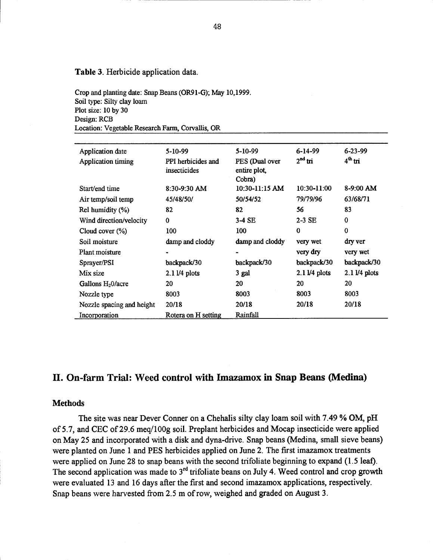### Table 3. Herbicide application data.

Crop and planting date: Snap Beans (0R91-G); May 10,1999. Soil type: Silty clay loam Plot size: 10 by 30 Design: RCB Location: Vegetable Research Farm, Corvallis, OR

| Application date          | $5-10-99$                          | 5-10-99                                  | $6 - 14 - 99$              | $6 - 23 - 99$       |
|---------------------------|------------------------------------|------------------------------------------|----------------------------|---------------------|
| Application timing        | PPI herbicides and<br>insecticides | PES (Dual over<br>entire plot,<br>Cobra) | $2nd$ tri                  | 4 <sup>th</sup> tri |
| Start/end time            | $8:30-9:30$ AM                     | $10:30-11:15$ AM                         | 10:30-11:00                | $8-9:00$ AM         |
| Air temp/soil temp        | 45/48/50/                          | 50/54/52                                 | 79/79/96                   | 63/68/71            |
| Rel humidity $(\%)$       | 82                                 | 82                                       | 56                         | 83                  |
| Wind direction/velocity   | $\bf{0}$                           | $3-4$ SE                                 | $2-3$ SE                   | $\bf{0}$            |
| Cloud cover $(\%)$        | 100                                | 100                                      | 0                          | 0                   |
| Soil moisture             | damp and cloddy                    | damp and cloddy                          | very wet                   | dry ver             |
| Plant moisture            |                                    |                                          | very dry                   | very wet            |
| Sprayer/PSI               | backpack/30                        | backpack/30                              | backpack/30                | backpack/30         |
| Mix size                  | $2.1\,\text{l}/4$ plots            | 3 gal                                    | $2.1\,\mathrm{l}$ /4 plots | $2.11/4$ plots      |
| Gallons $H20/a$ cre       | 20                                 | 20                                       | 20                         | 20                  |
| Nozzle type               | 8003                               | 8003                                     | 8003                       | 8003                |
| Nozzle spacing and height | 20/18                              | 20/18                                    | 20/18                      | 20/18               |
| Incorporation             | Rotera on H setting                | Rainfall                                 |                            |                     |

### II. On-farm Trial: Weed control with Imazamox in Snap Beans (Medina)

#### **Methods**

The site was near Dever Conner on a Chehalis silty clay loam soil with 7.49 % OM, pH of 5.7, and CEC of 29.6 meq/100g soil. Preplant herbicides and Mocap insecticide were applied on May 25 and incorporated with a disk and dyna-drive. Snap beans (Medina, small sieve beans) were planted on June 1 and PES herbicides applied on June 2. The first imazamox treatments were applied on June 28 to snap beans with the second trifoliate beginning to expand (1.5 leaf). The second application was made to  $3<sup>rd</sup>$  trifoliate beans on July 4. Weed control and crop growth were evaluated 13 and 16 days after the first and second imazamox applications, respectively. Snap beans were harvested from 2.5 m of row, weighed and graded on August 3.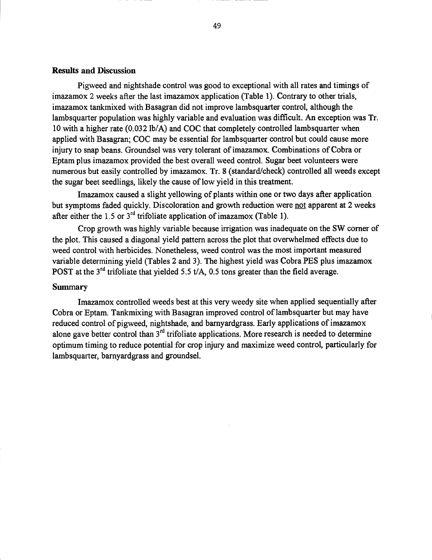### Results and Discussion

Pigweed and nightshade control was good to exceptional with all rates and timings of imazamox 2 weeks after the last imazamox application (Table 1). Contrary to other trials, imazamox tankmixed with Basagran did not improve lambsquarter control, although the lamb squarter population was highly variable and evaluation was difficult. An exception was Tr. 10 with a higher rate (0.032 lb/A) and COC that completely controlled lambsquarter when applied with Basagran; COC may be essential for lambsquarter control but could cause more injury to snap beans. Groundsel was very tolerant of imazamox. Combinations of Cobra or Eptam plus imazamox provided the best overall weed control. Sugar beet volunteers were numerous but easily controlled by imazamox. Tr. 8 (standard/check) controlled all weeds except the sugar beet seedlings, likely the cause of low yield in this treatment.

Imazamox caused a slight yellowing of plants within one or two days after application but symptoms faded quickly. Discoloration and growth reduction were not apparent at 2 weeks after either the 1.5 or  $3<sup>rd</sup>$  trifoliate application of imazamox (Table 1).

Crop growth was highly variable because irrigation was inadequate on the SW corner of the plot. This caused a diagonal yield pattern across the plot that overwhelmed effects due to weed control with herbicides. Nonetheless, weed control was the most important measured variable determining yield (Tables 2 and 3). The highest yield was Cobra PES plus imazamox POST at the  $3<sup>rd</sup>$  trifoliate that yielded 5.5 t/A, 0.5 tons greater than the field average.

### Summary

Imazamox controlled weeds best at this very weedy site when applied sequentially after Cobra or Eptam. Tankmixing with Basagran improved control of lambsquarter but may have reduced control of pigweed, nightshade, and barnyardgrass. Early applications of imazamox alone gave better control than  $3<sup>rd</sup>$  trifoliate applications. More research is needed to determine optimum timing to reduce potential for crop injury and maximize weed control, particularly for lambsquarter, barnyardgrass and groundsel.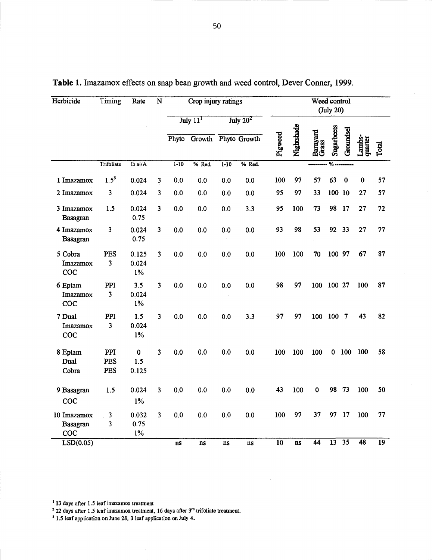| Herbicide                         | <b>Timing</b>     | Rate                     | $\overline{N}$          |                               | Crop injury ratings       |          |             |         |            |                   | Weed control<br>(July 20) |           |                   |                 |
|-----------------------------------|-------------------|--------------------------|-------------------------|-------------------------------|---------------------------|----------|-------------|---------|------------|-------------------|---------------------------|-----------|-------------------|-----------------|
|                                   |                   |                          |                         |                               | July 11 <sup>1</sup>      |          | July $20^2$ |         |            |                   |                           |           |                   |                 |
|                                   |                   |                          |                         |                               | Phyto Growth Phyto Growth |          |             | Pigweed | Nightshade | Barnyard<br>Grass | Sugarbeets                | Groundsel | Lambs-<br>quarter | Total           |
|                                   | Trifoliate        | $Ib$ ai/ $A$             |                         | $1 - 10$                      | % Red.                    | $1 - 10$ | % Red.      |         |            |                   | %                         |           |                   |                 |
| 1 Imazamox                        | $1.5^3$           | 0.024                    | 3                       | 0.0                           | 0.0                       | 0.0      | 0.0         | 100     | 97         | 57                | 63                        | $\bf{0}$  | $\bf{0}$          | 57              |
| 2 Imazamox                        | 3                 | 0.024                    | 3                       | 0.0                           | 0.0                       | 0.0      | 0.0         | 95      | 97         | 33                | 100 10                    |           | 27                | 57              |
| 3 Imazamox<br>Basagran            | 1.5               | 0.024<br>0.75            | 3                       | 0.0                           | 0.0                       | 0.0      | 3.3         | 95      | 100        | 73                | 98                        | 17        | 27                | 72              |
| 4 Imazamox<br><b>Basagran</b>     | 3                 | 0.024<br>0.75            | 3                       | 0.0                           | 0.0                       | 0.0      | 0.0         | 93      | 98         | 53                | 92 33                     |           | 27                | 77              |
| 5 Cobra<br><b>Imazamox</b><br>COC | PES<br>3          | 0.125<br>0.024<br>$1\%$  | 3                       | 0.0                           | 0.0                       | 0.0      | 0.0         | 100     | 100        | 70                | 100 97                    |           | 67                | 87              |
| 6 Eptam<br><b>Imazamox</b><br>COC | PPI<br>3          | 3.5<br>0.024<br>$1\%$    | 3                       | 0.0                           | 0.0                       | 0.0      | 0.0         | 98      | 97         | 100               | 100 27                    |           | 100               | 87              |
| 7 Dual<br>Imazamox<br>COC         | PPI<br>3          | 1.5<br>0.024<br>1%       | $\overline{\mathbf{3}}$ | 0.0                           | 0.0                       | 0.0      | 3.3         | 97      | 97         | 100               | 100 7                     |           | 43                | 82              |
| 8 Eptam<br>Dual<br>Cobra          | PPI<br>PES<br>PES | $\bf{0}$<br>1.5<br>0.125 | 3                       | 0.0                           | 0.0                       | 0.0      | 0.0         | 100     | 100        | 100               | $\mathbf{0}$              | 100       | <b>100</b>        | 58              |
| 9 Basagran<br>COC                 | 1.5               | 0.024<br>1%              | 3                       | 0.0                           | 0.0                       | 0.0      | 0.0         | 43      | 100        | $\bf{0}$          | 98                        | 73        | 100               | 50              |
| 10 Imazamox<br>Basagran<br>COC    | 3<br>3            | 0.032<br>0.75<br>$1\%$   | 3                       | 0.0                           | 0.0                       | 0.0      | 0.0         | 100     | 97         | 37                |                           | 97 17     | 100               | 77              |
| LSD(0.05)                         |                   |                          |                         | $\overline{\text{n}}\text{s}$ | ns                        | ns       | ns          | 10      | ns         | $\overline{44}$   | $13 \t35$                 |           | 48                | $\overline{19}$ |

| <b>Table 1.</b> Imazamox effects on snap bean growth and weed control, Dever Conner, 1999. |  |
|--------------------------------------------------------------------------------------------|--|
|                                                                                            |  |

<sup>1</sup> 13 days after 1.5 leaf imazamox treatment

<sup>2</sup> 22 days after 1.5 leaf imazamox treatment, 16 days after 3<sup>rd</sup> trifoliate treatment.

<sup>3</sup> 1.5 leaf application on June 28, 3 leaf application on July 4.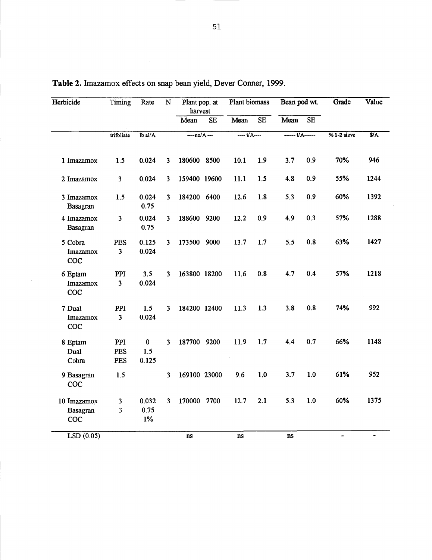| Herbicide                             | Timing            | Rate                     | $\overline{\mathbf{N}}$ | Plant pop. at<br>harvest |    | Plant biomass     |                        | Bean pod wt.                         |                        | Grade                        | Value          |
|---------------------------------------|-------------------|--------------------------|-------------------------|--------------------------|----|-------------------|------------------------|--------------------------------------|------------------------|------------------------------|----------------|
|                                       |                   |                          |                         | Mean                     | SE | Mean              | $\overline{\text{SE}}$ | Mean                                 | $\overline{\text{SE}}$ |                              |                |
|                                       | trifoliate        | $1b$ ai/ $A$             |                         | $-mo/A$ ---              |    | $-1 + \sqrt{A} -$ |                        | $\overline{\cdots}$ $\overline{t/A}$ |                        | $% 1-2$ sieve                | $\sqrt{$4$}$   |
| 1 Imazamox                            | 1.5               | 0.024                    | 3                       | 180600 8500              |    | 10.1              | 1,9                    | 3.7                                  | 0.9                    | 70%                          | 946            |
| 2 Imazamox                            | 3                 | 0.024                    | 3                       | 159400 19600             |    | 11.1              | 1.5                    | 4.8                                  | 0.9                    | 55%                          | 1244           |
| 3 Imazamox<br>Basagran                | 1.5               | 0.024<br>0.75            | 3                       | 184200 6400              |    | 12.6              | 1.8                    | 5.3                                  | 0.9                    | 60%                          | 1392           |
| 4 Imazamox<br>Basagran                | 3                 | 0.024<br>0.75            | 3                       | 188600 9200              |    | 12.2              | 0.9                    | 4.9                                  | 0.3                    | 57%                          | 1288           |
| 5 Cobra<br>Imazamox<br>COC            | PES<br>3          | 0.125<br>0.024           | 3                       | 173500 9000              |    | 13.7              | 1.7                    | 5.5                                  | 0.8                    | 63%                          | 1427           |
| 6 Eptam<br>Imazamox<br>COC            | PPI<br>3          | 3.5<br>0.024             | 3                       | 163800 18200             |    | 11.6              | 0.8                    | 4.7                                  | 0.4                    | 57%                          | 1218           |
| 7 Dual<br>Imazamox<br>COC             | PPI<br>3          | 1.5<br>0.024             | 3                       | 184200 12400             |    | 11.3              | 1.3                    | 3.8                                  | 0.8                    | 74%                          | 992            |
| 8 Eptam<br>Dual<br>Cobra              | PPI<br>PES<br>PES | $\bf{0}$<br>1.5<br>0.125 | $\overline{\mathbf{3}}$ | 187700 9200              |    | 11.9              | 1.7                    | 4.4                                  | 0.7                    | 66%                          | 1148           |
| 9 Basagran<br><b>COC</b>              | 1.5               |                          | $\overline{\mathbf{3}}$ | 169100 23000             |    | 9.6               | 1.0                    | 3.7                                  | 1.0                    | 61%                          | 952            |
| 10 Imazamox<br>Basagran<br><b>COC</b> | 3<br>3            | 0.032<br>0.75<br>1%      | 3                       | 170000 7700              |    | 12.7              | 2.1                    | 5.3                                  | 1.0                    | 60%                          | 1375           |
| LSD(0.05)                             |                   |                          |                         | ns                       |    | ns                |                        | ns                                   |                        | $\qquad \qquad \blacksquare$ | $\blacksquare$ |

Table 2. Imazamox effects on snap bean yield, Dever Conner, 1999.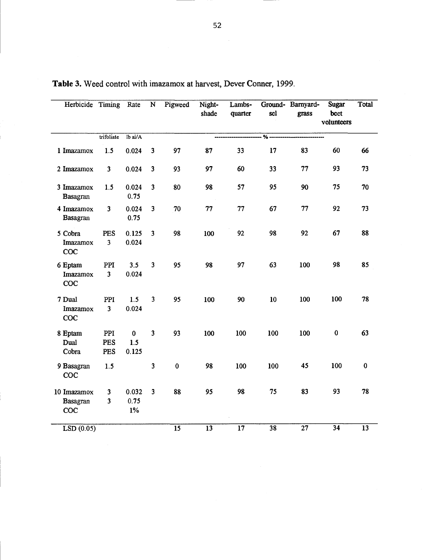| Herbicide Timing                      |                                                    | Rate                     | $\overline{\mathbf{N}}$ | Pigweed         | Night-<br>shade | Lambs-<br>quarter | sel                    | Ground- Barnyard-<br>grass | <b>Sugar</b><br>beet<br>volunteers | Total           |
|---------------------------------------|----------------------------------------------------|--------------------------|-------------------------|-----------------|-----------------|-------------------|------------------------|----------------------------|------------------------------------|-----------------|
|                                       | trifoliate                                         | Ib $ai/A$                |                         |                 |                 |                   | $\frac{9}{6}$ -------- |                            |                                    |                 |
| 1 Imazamox                            | 1.5                                                | 0.024                    | $\mathbf{3}$            | 97              | 87              | 33                | 17                     | 83                         | 60                                 | 66              |
| 2 Imazamox                            | $\overline{\mathbf{3}}$                            | 0.024                    | 3                       | 93              | 97              | 60                | 33                     | 77                         | 93                                 | 73              |
| 3 Imazamox<br><b>Basagran</b>         | 1.5                                                | 0.024<br>0.75            | $\overline{\mathbf{3}}$ | 80              | 98              | 57                | 95                     | 90                         | 75                                 | 70              |
| 4 Imazamox<br>Basagran                | $\overline{\mathbf{3}}$                            | 0.024<br>0.75            | $\mathbf{3}$            | $70\,$          | 77              | 77                | 67                     | 77                         | 92                                 | 73              |
| 5 Cobra<br>Imazamox<br><b>COC</b>     | PES<br>$\overline{\mathbf{3}}$                     | 0.125<br>0.024           | $\overline{\mathbf{3}}$ | 98              | 100             | 92                | 98                     | 92                         | 67                                 | 88              |
| 6 Eptam<br>Imazamox<br>COC            | PPI<br>$\overline{\mathbf{3}}$                     | 3.5<br>0.024             | $\mathbf{3}$            | 95              | 98              | 97                | 63                     | 100                        | 98                                 | 85              |
| 7 Dual<br>Imazamox<br>COC             | PPI<br>$\overline{\mathbf{3}}$                     | 1.5<br>0.024             | $\overline{\mathbf{3}}$ | 95              | 100             | 90                | 10                     | 100                        | 100                                | 78              |
| 8 Eptam<br>Dual<br>Cobra              | PPI<br>PES<br>PES                                  | $\bf{0}$<br>1.5<br>0.125 | $\mathbf{3}$            | 93              | 100             | 100               | 100                    | 100                        | $\bf{0}$                           | 63              |
| 9 Basagran<br>COC                     | 1.5                                                |                          | 3                       | $\bf{0}$        | 98              | 100               | 100                    | 45                         | 100                                | $\bf{0}$        |
| 10 Imazamox<br><b>Basagran</b><br>COC | $\overline{\mathbf{3}}$<br>$\overline{\mathbf{3}}$ | 0.032<br>0.75<br>$1\%$   | $\mathbf{3}$            | 88              | 95              | 98                | 75                     | 83                         | 93                                 | 78              |
| LSD(0.05)                             |                                                    |                          |                         | $\overline{15}$ | $\overline{13}$ | $\overline{17}$   | 38                     | 27                         | $\overline{34}$                    | $\overline{13}$ |

Table 3. Weed control with imazamox at harvest, Dever Conner, 1999.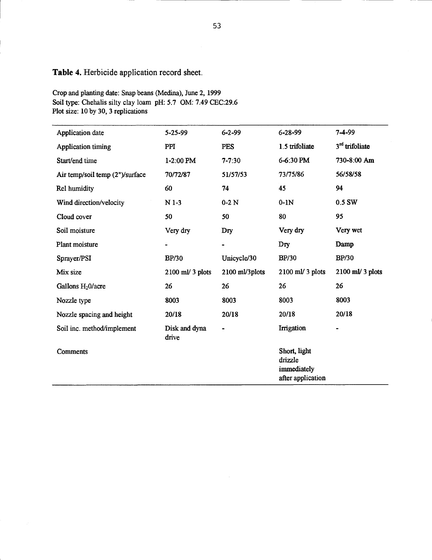## Table 4. Herbicide application record sheet.

Crop and planting date: Snap beans (Medina), June 2, 1999 Soil type: Chehalis silty clay loam pH: 5.7 OM: 7.49 CEC:29.6 Plot size: 10 by 30, 3 replications

| Application date                | 5-25-99                | $6 - 2 - 99$   | 6-28-99                                                     | 7-4-99                       |
|---------------------------------|------------------------|----------------|-------------------------------------------------------------|------------------------------|
| <b>Application</b> timing       | <b>PPI</b>             | <b>PES</b>     | 1.5 trifoliate                                              | 3 <sup>rd</sup> trifoliate   |
| Start/end time                  | 1-2:00 PM              | $7 - 7:30$     | 6-6:30 PM                                                   | 730-8:00 Am                  |
| Air temp/soil temp (2")/surface | 70/72/87               | 51/57/53       | 73/75/86                                                    | 56/58/58                     |
| Rel humidity                    | 60                     | 74             | 45                                                          | 94                           |
| Wind direction/velocity         | $N$ 1-3                | $0-2N$         | $0-1N$                                                      | 0.5 SW                       |
| Cloud cover                     | 50                     | 50             | 80                                                          | 95                           |
| Soil moisture                   | Very dry               | Dry            | Very dry                                                    | Very wet                     |
| Plant moisture                  |                        | $\blacksquare$ | Dry                                                         | Damp                         |
| Sprayer/PSI                     | <b>BP/30</b>           | Unicycle/30    | <b>BP/30</b>                                                | <b>BP/30</b>                 |
| Mix size                        | 2100 ml/ 3 plots       | 2100 ml/3plots | $2100$ ml/ 3 plots                                          | $2100$ ml/ 3 plots           |
| Gallons H <sub>2</sub> 0/acre   | 26                     | 26             | 26                                                          | 26                           |
| Nozzle type                     | 8003                   | 8003           | 8003                                                        | 8003                         |
| Nozzle spacing and height       | 20/18                  | 20/18          | 20/18                                                       | 20/18                        |
| Soil inc. method/implement      | Disk and dyna<br>drive | $\blacksquare$ | Irrigation                                                  | $\qquad \qquad \blacksquare$ |
| Comments                        |                        |                | Short, light<br>drizzle<br>immediately<br>after application |                              |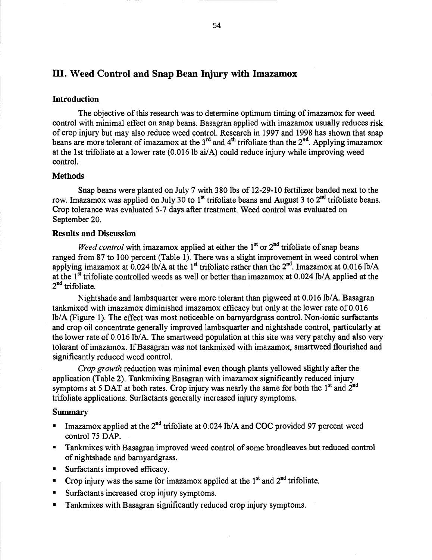## III. Weed Control and Snap Bean Injury with Imazamox

### **Introduction**

The objective of this research was to determine optimum timing of imazamox for weed control with minimal effect on snap beans. Basagran applied with imazamox usually reduces risk of crop injury but may also reduce weed control. Research in 1997 and 1998 has shown that snap beans are more tolerant of imazamox at the  $3^{rd}$  and  $4^{th}$  trifoliate than the  $2^{nd}$ . Applying imazamox at the 1st trifoliate at a lower rate (0.016 lb ai/A) could reduce injury while improving weed control.

### **Methods**

Snap beans were planted on July 7 with 380 lbs of 12-29-10 fertilizer banded next to the row. Imazamox was applied on July 30 to 1<sup>st</sup> trifoliate beans and August 3 to  $2<sup>nd</sup>$  trifoliate beans. Crop tolerance was evaluated 5-7 days after treatment. Weed control was evaluated on September 20.

### Results and Discussion

*Weed control* with imazamox applied at either the  $1<sup>st</sup>$  or  $2<sup>nd</sup>$  trifoliate of snap beans ranged from 87 to 100 percent (Table 1). There was a slight improvement in weed control when applying imazamox at  $0.024$  lb/A at the 1<sup>st</sup> trifoliate rather than the 2<sup>nd</sup>. Imazamox at 0.016 lb/A at the  $1^{\frac{st}{st}}$  trifoliate controlled weeds as well or better than imazamox at 0.024 lb/A applied at the 2<sup>nd</sup> trifoliate.

Nightshade and lambsquarter were more tolerant than pigweed at 0.016 lb/A. Basagran tankmixed with imazamox diminished imazamox efficacy but only at the lower rate of 0.016 lb/A (Figure 1). The effect was most noticeable on barnyardgrass control. Non-ionic surfactants and crop oil concentrate generally improved lambsquarter and nightshade control, particularly at the lower rate of 0.016 lb/A. The smartweed population at this site was very patchy and also very tolerant of imazamox. If Basagran was not tankmixed with imazamox, smartweed flourished and significantly reduced weed control.

Crop growth reduction was minimal even though plants yellowed slightly after the application (Table 2). Tankmixing Basagran with imazamox significantly reduced injury symptoms at 5 DAT at both rates. Crop injury was nearly the same for both the  $1<sup>st</sup>$  and  $2<sup>nd</sup>$ trifoliate applications. Surfactants generally increased injury symptoms.

### Summary

- Imazamox applied at the  $2^{nd}$  trifoliate at 0.024 lb/A and COC provided 97 percent weed control 75 DAP.
- Tankmixes with Basagran improved weed control of some broadleaves but reduced control of nightshade and barnyardgrass.
- Surfactants improved efficacy.
- Crop injury was the same for imazamox applied at the  $1<sup>st</sup>$  and  $2<sup>nd</sup>$  trifoliate.
- **Surfactants increased crop injury symptoms.**
- Tankmixes with Basagran significantly reduced crop injury symptoms. $\mathbf{m}$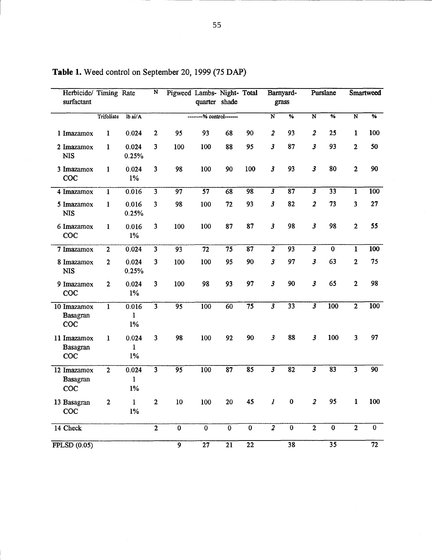| Herbicide/ Timing Rate<br>surfactant  |                |                                | N                       | Pigweed Lambs- Night- Total | quarter shade   |                           |                 |                            | Barnyard-<br>grass       |                            | Purslane                |                         | <b>Smartweed</b>         |
|---------------------------------------|----------------|--------------------------------|-------------------------|-----------------------------|-----------------|---------------------------|-----------------|----------------------------|--------------------------|----------------------------|-------------------------|-------------------------|--------------------------|
|                                       | Trifoliate     | lb ai/A                        |                         |                             |                 | --% control-------        |                 | $\overline{\mathbf{N}}$    | $\overline{\frac{9}{6}}$ | $\overline{\mathbf{N}}$    | $\frac{9}{6}$           | $\overline{N}$          | $\overline{\frac{9}{6}}$ |
| 1 Imazamox                            | $\mathbf{1}$   | 0.024                          | $\mathbf{2}$            | 95                          | 93              | 68                        | 90              | $\overline{\mathbf{c}}$    | 93                       | $\overline{\mathbf{c}}$    | 25                      | $\mathbf{1}$            | 100                      |
| 2 Imazamox<br><b>NIS</b>              | $\mathbf{1}$   | 0.024<br>0.25%                 | $\overline{\mathbf{3}}$ | 100                         | 100             | 88                        | 95              | $\boldsymbol{\mathcal{S}}$ | 87                       | $\boldsymbol{\mathcal{S}}$ | 93                      | $\overline{2}$          | 50                       |
| 3 Imazamox<br>COC                     | $\mathbf{1}$   | 0.024<br>$1\%$                 | $\overline{\mathbf{3}}$ | 98                          | 100             | 90                        | 100             | $\mathbf{3}$               | 93                       | $\mathbf{3}$               | 80                      | $\overline{2}$          | 90                       |
| 4 Imazamox                            | $\mathbf{1}$   | 0.016                          | $\overline{3}$          | $\overline{97}$             | $\overline{57}$ | $\overline{68}$           | $\overline{98}$ | $\overline{\overline{3}}$  | $\overline{87}$          | $\overline{\overline{3}}$  | $\overline{33}$         | $\overline{1}$          | 100                      |
| 5 Imazamox<br><b>NIS</b>              | $\mathbf{1}$   | 0.016<br>0.25%                 | $\overline{\mathbf{3}}$ | 98                          | 100             | 72                        | 93              | $\boldsymbol{\mathcal{S}}$ | 82                       | $\boldsymbol{2}$           | 73                      | 3                       | 27                       |
| 6 Imazamox<br>COC                     | $\mathbf{1}$   | 0.016<br>$1\%$                 | $\overline{3}$          | 100                         | 100             | 87                        | 87              | $\mathbf{3}$               | 98                       | $\mathbf{3}$               | 98                      | $\overline{2}$          | 55                       |
| 7 Imazamox                            | $\overline{2}$ | 0.024                          | $\overline{3}$          | 93                          | 72              | $\overline{75}$           | 87              | $\overline{2}$             | 93                       | $\overline{\mathbf{3}}$    | $\bf{0}$                | $\overline{1}$          | 100                      |
| 8 Imazamox<br><b>NIS</b>              | $\overline{2}$ | 0.024<br>0.25%                 | $\overline{\mathbf{3}}$ | 100                         | 100             | 95                        | 90              | $\mathbf{3}$               | 97                       | $\mathbf{3}$               | 63                      | $\mathbf{2}$            | 75                       |
| 9 Imazamox<br><b>COC</b>              | $\mathbf{2}$   | 0.024<br>$1\%$                 | $\overline{\mathbf{3}}$ | 100                         | 98              | 93                        | 97              | $\overline{\mathbf{3}}$    | 90                       | $\overline{\mathbf{3}}$    | 65                      | $\overline{2}$          | 98                       |
| 10 Imazamox<br>Basagran<br>COC        | $\overline{1}$ | 0.016<br>1<br>$1\%$            | $\overline{3}$          | $\overline{95}$             | 100             | $\overline{60}$           | $\overline{75}$ | $\overline{\overline{3}}$  | $\overline{33}$          | $\overline{\mathbf{3}}$    | $\overline{100}$        | $\overline{2}$          | 100                      |
| 11 Imazamox<br><b>Basagran</b><br>coc | $\mathbf{1}$   | 0.024<br>$\mathbf{1}$<br>$1\%$ | $\overline{\mathbf{3}}$ | 98                          | 100             | 92                        | 90              | $\mathbf{3}$               | 88                       | $\mathbf{3}$               | 100                     | $\overline{\mathbf{3}}$ | 97                       |
| 12 Imazamox<br>Basagran<br>COC        | $\overline{2}$ | 0.024<br>$\mathbf{I}$<br>$1\%$ | $\overline{3}$          | $\overline{95}$             | 100             | $\overline{87}$           | $\overline{85}$ |                            | $\overline{82}$          |                            | $\overline{83}$         | $\overline{3}$          | $\overline{90}$          |
| 13 Basagran<br>coc                    | $\overline{2}$ | $\mathbf{1}$<br>1%             | $\overline{2}$          | 10                          | 100             | 20                        | 45              | $\boldsymbol{l}$           | $\bf{0}$                 | $\overline{\mathbf{c}}$    | 95                      | $\mathbf{1}$            | 100                      |
| 14 Check                              |                |                                | $\overline{2}$          | $\overline{0}$              | $\overline{0}$  | $\overline{\mathfrak{o}}$ | $\overline{0}$  | $\overline{\textbf{2}}$    | $\overline{0}$           | $\overline{2}$             | $\overline{\mathbf{0}}$ | $\overline{2}$          | $\overline{0}$           |
| FPLSD(0.05)                           |                |                                |                         | 9                           | $\overline{27}$ | $\overline{21}$           | $\overline{22}$ |                            | 38                       |                            | $\overline{35}$         |                         | 72                       |

Table 1. Weed control on September 20, 1999 (75 DAP)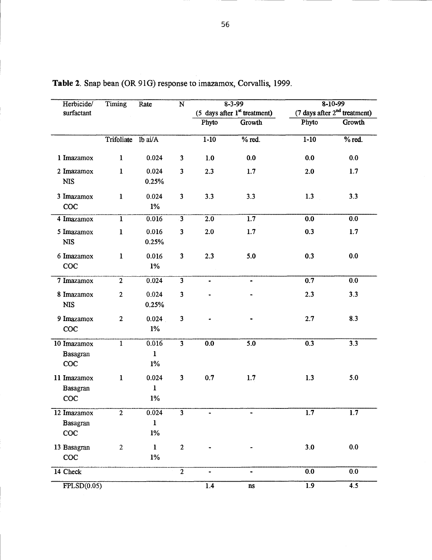| Herbicide/                            | Timing           | Rate                           | $\overline{\mathbf{N}}$ |               | $8 - 3 - 99$                        |                  | $8 - 10 - 99$                  |
|---------------------------------------|------------------|--------------------------------|-------------------------|---------------|-------------------------------------|------------------|--------------------------------|
| surfactant                            |                  |                                |                         |               | $(5$ days after $1^{st}$ treatment) |                  | (7 days after $2nd$ treatment) |
|                                       |                  |                                |                         | Phyto         | <b>Growth</b>                       | Phyto            | Growth                         |
|                                       | Trifoliate       | lb ai/A                        |                         | $1 - 10$      | $%$ red.                            | $1 - 10$         | $%$ red.                       |
| 1 Imazamox                            | $\mathbf{1}$     | 0.024                          | $\mathbf{3}$            | $1.0$         | 0.0                                 | 0.0              | 0.0                            |
| 2 Imazamox<br><b>NIS</b>              | 1                | 0.024<br>0.25%                 | $\mathbf{3}$            | 2.3           | 1.7                                 | 2.0              | 1.7                            |
| 3 Imazamox<br>COC                     | $\mathbf{1}$     | 0.024<br>$1\%$                 | $\overline{\mathbf{3}}$ | 3.3           | 3.3                                 | 1.3              | 3.3                            |
| 4 Imazamox                            | $\mathbf{I}$     | 0.016                          | $\overline{3}$          | 2.0           | 1.7                                 | 0.0              | 0.0                            |
| 5 Imazamox<br><b>NIS</b>              | $\mathbf{1}$     | 0.016<br>0.25%                 | $\overline{\mathbf{3}}$ | 2.0           | $1.7\,$                             | 0.3              | 1.7                            |
| 6 Imazamox<br>COC                     | $\mathbf{I}$     | 0.016<br>$1\%$                 | $\mathbf{3}$            | 2.3           | 5.0                                 | 0.3              | 0.0                            |
| 7 Imazamox                            | $\overline{2}$   | 0.024                          | $\overline{3}$          | $\frac{1}{2}$ | $\blacksquare$                      | 0.7              | 0.0                            |
| 8 Imazamox<br><b>NIS</b>              | $\overline{2}$   | 0.024<br>0.25%                 | $\overline{\mathbf{3}}$ |               |                                     | 2.3              | 3.3                            |
| 9 Imazamox<br>COC                     | $\overline{2}$   | 0.024<br>$1\%$                 | $\mathbf{3}$            |               |                                     | 2.7              | 8.3                            |
| 10 Imazamox<br><b>Basagran</b><br>COC | $\mathbf{1}$     | 0.016<br>$\mathbf{1}$<br>$1\%$ | $\overline{3}$          | 0.0           | 5.0                                 | 0.3              | 3.3                            |
| 11 Imazamox<br><b>Basagran</b><br>COC | $\mathbf{1}$     | 0.024<br>$\mathbf{I}$<br>$1\%$ | $\mathbf{3}$            | 0.7           | 1.7                                 | 1.3              | 5.0                            |
| 12 Imazamox<br><b>Basagran</b><br>COC | $\mathbf{2}$     | 0.024<br>$\mathbf{1}$<br>$1\%$ | $\overline{\mathbf{3}}$ |               |                                     | $\overline{1.7}$ | $\overline{1.7}$               |
| 13 Basagran<br>COC                    | $\boldsymbol{2}$ | $\bf{l}$<br>$1\%$              | $\mathbf{2}$            |               |                                     | 3.0              | 0.0                            |
| 14 Check                              |                  |                                | $\overline{2}$          |               | $\blacksquare$                      | 0.0              | 0.0                            |
| $\overline{\text{FPLSD}(0.05)}$       |                  |                                |                         | 1.4           | $\mathbf{n}\mathbf{s}$              | $\overline{1.9}$ | 4.5                            |

Table 2. Snap bean (OR 91G) response to imazamox, Corvallis, 1999.